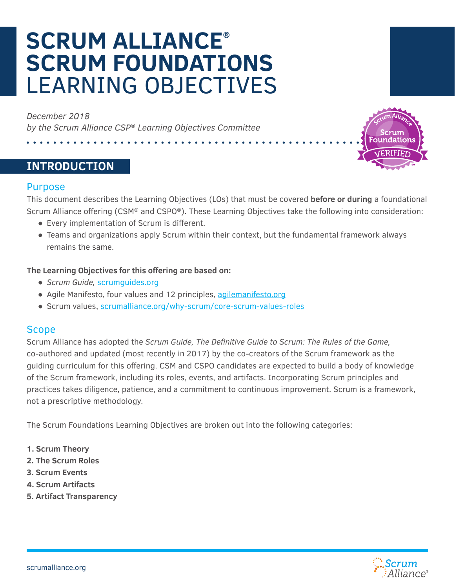# **SCRUM ALLIANCE® SCRUM FOUNDATIONS** LEARNING OBJECTIVES

*December 2018 by the Scrum Alliance CSP® Learning Objectives Committee*

# **INTRODUCTION**

#### Purpose

This document describes the Learning Objectives (LOs) that must be covered **before or during** a foundational Scrum Alliance offering (CSM® and CSPO®). These Learning Objectives take the following into consideration:

- Every implementation of Scrum is different.
- Teams and organizations apply Scrum within their context, but the fundamental framework always remains the same.

#### **The Learning Objectives for this offering are based on:**

- *● Scrum Guide,* [scrumguides.org](https://scrumguides.org/)
- Agile Manifesto, four values and 12 principles, [agilemanifesto.org](http://agilemanifesto.org/)
- Scrum values, [scrumalliance.org/why-scrum/core-scrum-values-roles](https://www.scrumalliance.org/learn-about-scrum/scrum-values)

#### Scope

Scrum Alliance has adopted the *Scrum Guide, The Definitive Guide to Scrum: The Rules of the Game,* co-authored and updated (most recently in 2017) by the co-creators of the Scrum framework as the guiding curriculum for this offering. CSM and CSPO candidates are expected to build a body of knowledge of the Scrum framework, including its roles, events, and artifacts. Incorporating Scrum principles and practices takes diligence, patience, and a commitment to continuous improvement. Scrum is a framework, not a prescriptive methodology.

The Scrum Foundations Learning Objectives are broken out into the following categories:

- **1. Scrum Theory**
- **2. The Scrum Roles**
- **3. Scrum Events**
- **4. Scrum Artifacts**
- **5. Artifact Transparency**



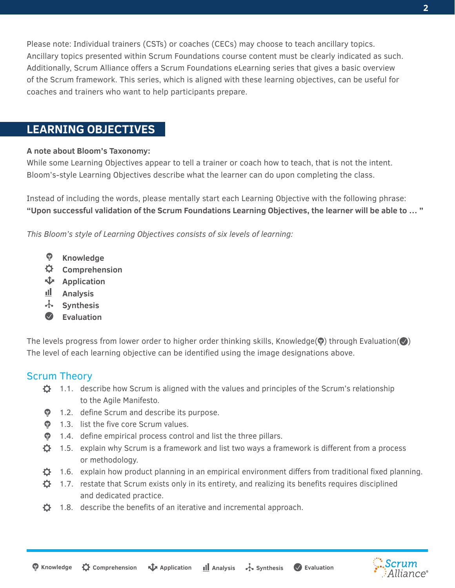Please note: Individual trainers (CSTs) or coaches (CECs) may choose to teach ancillary topics. Ancillary topics presented within Scrum Foundations course content must be clearly indicated as such. Additionally, Scrum Alliance offers a Scrum Foundations eLearning series that gives a basic overview of the Scrum framework. This series, which is aligned with these learning objectives, can be useful for coaches and trainers who want to help participants prepare.

# **LEARNING OBJECTIVES**

#### **A note about Bloom's Taxonomy:**

While some Learning Objectives appear to tell a trainer or coach how to teach, that is not the intent. Bloom's-style Learning Objectives describe what the learner can do upon completing the class.

Instead of including the words, please mentally start each Learning Objective with the following phrase: **"Upon successful validation of the Scrum Foundations Learning Objectives, the learner will be able to … "**

*This Bloom's style of Learning Objectives consists of six levels of learning:*

- **Knowledge**
- ♦. **Comprehension**
- **Application**
- <u>ill</u> . **Analysis**
- ⊹ **Synthesis**
- $\bigcirc$ **Evaluation**

The levels progress from lower order to higher order thinking skills, Knowledge( $\circledast$ ) through Evaluation( $\circledast$ ) The level of each learning objective can be identified using the image designations above.

## Scrum Theory

- $\ddot{Q}$  1.1. describe how Scrum is aligned with the values and principles of the Scrum's relationship to the Agile Manifesto.
- **1.2.** define Scrum and describe its purpose.
- **•** 1.3. list the five core Scrum values.
- **•** 1.4. define empirical process control and list the three pillars.
- $\bullet$  1.5. explain why Scrum is a framework and list two ways a framework is different from a process or methodology.
- $\ddot{\phi}$  1.6. explain how product planning in an empirical environment differs from traditional fixed planning.
- $\ddot{\mathbf{Q}}$  1.7. restate that Scrum exists only in its entirety, and realizing its benefits requires disciplined and dedicated practice.
- $\ddot{\mathbf{C}}$  1.8. describe the benefits of an iterative and incremental approach.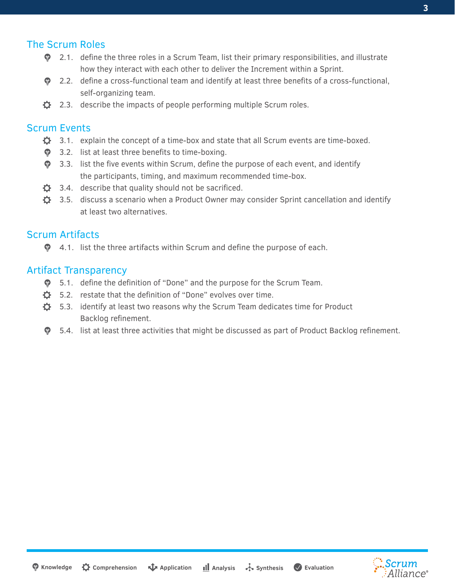## The Scrum Roles

- $\bullet$  2.1. define the three roles in a Scrum Team, list their primary responsibilities, and illustrate how they interact with each other to deliver the Increment within a Sprint.
- 2.2. define a cross-functional team and identify at least three benefits of a cross-functional, self-organizing team.
- $\bullet$  2.3. describe the impacts of people performing multiple Scrum roles.

## Scrum Events

- $\bullet$  3.1. explain the concept of a time-box and state that all Scrum events are time-boxed.
- **•** 3.2. list at least three benefits to time-boxing.
- $\bullet$  3.3. list the five events within Scrum, define the purpose of each event, and identify the participants, timing, and maximum recommended time-box.
- $\ddot{\mathbf{Q}}$  3.4. describe that quality should not be sacrificed.
- $\ddot{\mathbf{Q}}$  3.5. discuss a scenario when a Product Owner may consider Sprint cancellation and identify at least two alternatives.

## Scrum Artifacts

 $\bullet$  4.1. list the three artifacts within Scrum and define the purpose of each.

#### Artifact Transparency

- 5.1. define the definition of "Done" and the purpose for the Scrum Team.
- $\bullet$  5.2. restate that the definition of "Done" evolves over time.
- $\ddot{\mathbf{Q}}$  5.3. identify at least two reasons why the Scrum Team dedicates time for Product Backlog refinement.
- $\bullet$  5.4. list at least three activities that might be discussed as part of Product Backlog refinement.